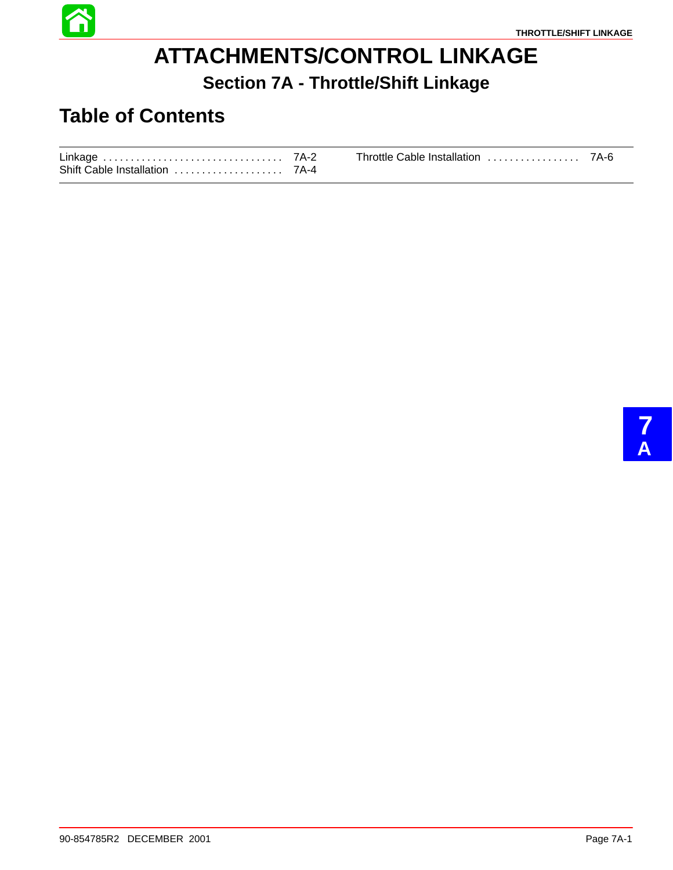

# **ATTACHMENTS/CONTROL LINKAGE Section 7A - Throttle/Shift Linkage**

## **Table of Contents**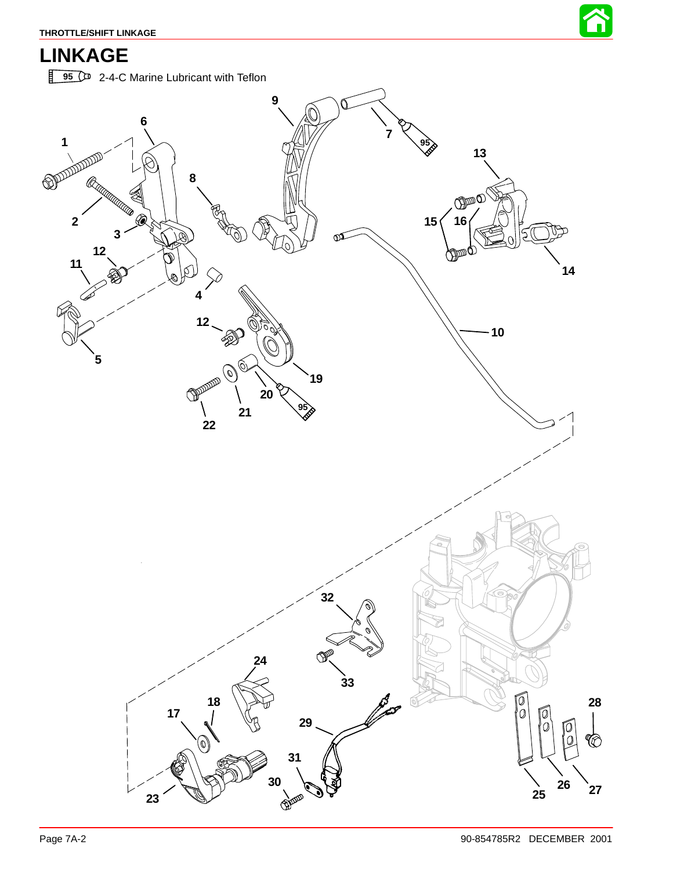

# **LINKAGE**

**95** <sup>2</sup>-4-C Marine Lubricant with Teflon

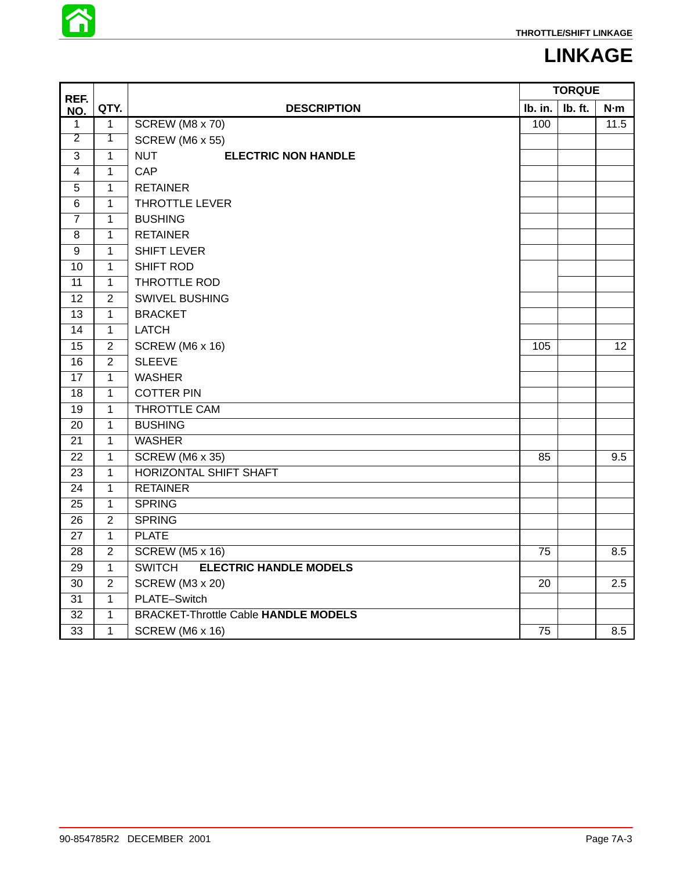

## **LINKAGE**

| REF.                    |                |                                                | <b>TORQUE</b>   |         |                  |
|-------------------------|----------------|------------------------------------------------|-----------------|---------|------------------|
| NO.                     | QTY.           | <b>DESCRIPTION</b>                             | lb. in.         | Ib. ft. | N·m              |
| 1                       | $\mathbf{1}$   | SCREW (M8 x 70)                                | 100             |         | 11.5             |
| $\overline{2}$          | $\overline{1}$ | <b>SCREW (M6 x 55)</b>                         |                 |         |                  |
| 3                       | $\mathbf{1}$   | <b>NUT</b><br><b>ELECTRIC NON HANDLE</b>       |                 |         |                  |
| $\overline{\mathbf{4}}$ | $\overline{1}$ | CAP                                            |                 |         |                  |
| 5                       | $\mathbf{1}$   | <b>RETAINER</b>                                |                 |         |                  |
| $\,6$                   | $\mathbf{1}$   | THROTTLE LEVER                                 |                 |         |                  |
| $\overline{7}$          | $\mathbf 1$    | <b>BUSHING</b>                                 |                 |         |                  |
| 8                       | $\mathbf{1}$   | <b>RETAINER</b>                                |                 |         |                  |
| $\overline{9}$          | $\mathbf{1}$   | <b>SHIFT LEVER</b>                             |                 |         |                  |
| 10                      | $\mathbf{1}$   | <b>SHIFT ROD</b>                               |                 |         |                  |
| 11                      | $\mathbf{1}$   | THROTTLE ROD                                   |                 |         |                  |
| $\overline{12}$         | $\overline{2}$ | <b>SWIVEL BUSHING</b>                          |                 |         |                  |
| 13                      | $\mathbf{1}$   | <b>BRACKET</b>                                 |                 |         |                  |
| $\overline{14}$         | $\overline{1}$ | <b>LATCH</b>                                   |                 |         |                  |
| 15                      | $\overline{2}$ | SCREW (M6 x 16)                                | 105             |         | 12 <sup>°</sup>  |
| $\overline{16}$         | $\overline{2}$ | <b>SLEEVE</b>                                  |                 |         |                  |
| 17                      | 1              | <b>WASHER</b>                                  |                 |         |                  |
| 18                      | $\mathbf{1}$   | <b>COTTER PIN</b>                              |                 |         |                  |
| 19                      | $\mathbf{1}$   | THROTTLE CAM                                   |                 |         |                  |
| 20                      | $\mathbf{1}$   | <b>BUSHING</b>                                 |                 |         |                  |
| 21                      | $\mathbf{1}$   | <b>WASHER</b>                                  |                 |         |                  |
| 22                      | $\mathbf{1}$   | $\overline{SCREW}$ (M6 x 35)                   | 85              |         | 9.5              |
| $\overline{23}$         | $\mathbf{1}$   | <b>HORIZONTAL SHIFT SHAFT</b>                  |                 |         |                  |
| 24                      | $\mathbf{1}$   | <b>RETAINER</b>                                |                 |         |                  |
| 25                      | $\mathbf{1}$   | <b>SPRING</b>                                  |                 |         |                  |
| 26                      | $\overline{2}$ | <b>SPRING</b>                                  |                 |         |                  |
| 27                      | $\mathbf{1}$   | <b>PLATE</b>                                   |                 |         |                  |
| $\overline{28}$         | $\overline{2}$ | <b>SCREW (M5 x 16)</b>                         | $\overline{75}$ |         | 8.5              |
| 29                      | $\mathbf{1}$   | <b>ELECTRIC HANDLE MODELS</b><br><b>SWITCH</b> |                 |         |                  |
| $\overline{30}$         | $\overline{2}$ | SCREW (M3 x 20)                                | 20              |         | $\overline{2.5}$ |
| 31                      | $\mathbf{1}$   | PLATE-Switch                                   |                 |         |                  |
| 32                      | $\mathbf 1$    | <b>BRACKET-Throttle Cable HANDLE MODELS</b>    |                 |         |                  |
| 33                      | $\mathbf{1}$   | SCREW (M6 x 16)                                | 75              |         | 8.5              |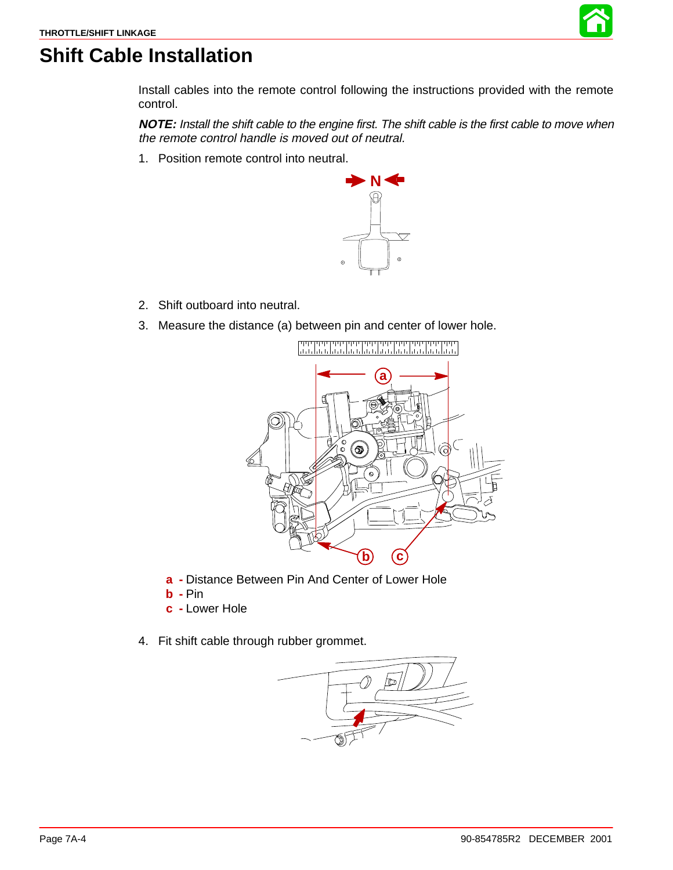

### <span id="page-3-0"></span>**Shift Cable Installation**

Install cables into the remote control following the instructions provided with the remote control.

**NOTE:** Install the shift cable to the engine first. The shift cable is the first cable to move when the remote control handle is moved out of neutral.

1. Position remote control into neutral.



- 2. Shift outboard into neutral.
- 3. Measure the distance (a) between pin and center of lower hole.



- **a -** Distance Between Pin And Center of Lower Hole
- **b -** Pin
- **c -** Lower Hole
- 4. Fit shift cable through rubber grommet.

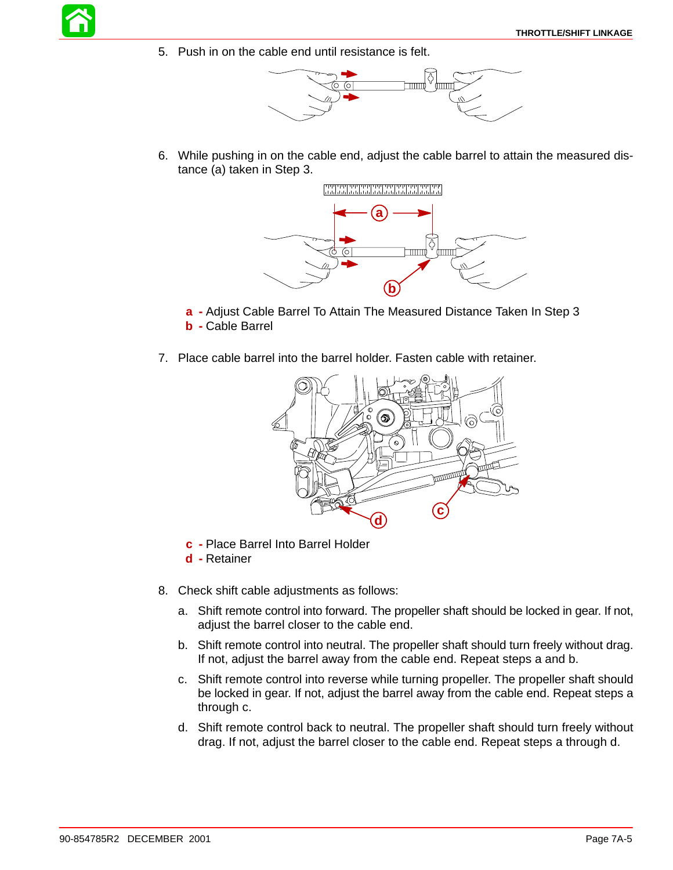5. Push in on the cable end until resistance is felt.



6. While pushing in on the cable end, adjust the cable barrel to attain the measured distance (a) taken in Step 3.



- **a -** Adjust Cable Barrel To Attain The Measured Distance Taken In Step 3 **b -** Cable Barrel
- 7. Place cable barrel into the barrel holder. Fasten cable with retainer.



- **c -** Place Barrel Into Barrel Holder
- **d -** Retainer
- 8. Check shift cable adjustments as follows:
	- a. Shift remote control into forward. The propeller shaft should be locked in gear. If not, adjust the barrel closer to the cable end.
	- b. Shift remote control into neutral. The propeller shaft should turn freely without drag. If not, adjust the barrel away from the cable end. Repeat steps a and b.
	- c. Shift remote control into reverse while turning propeller. The propeller shaft should be locked in gear. If not, adjust the barrel away from the cable end. Repeat steps a through c.
	- d. Shift remote control back to neutral. The propeller shaft should turn freely without drag. If not, adjust the barrel closer to the cable end. Repeat steps a through d.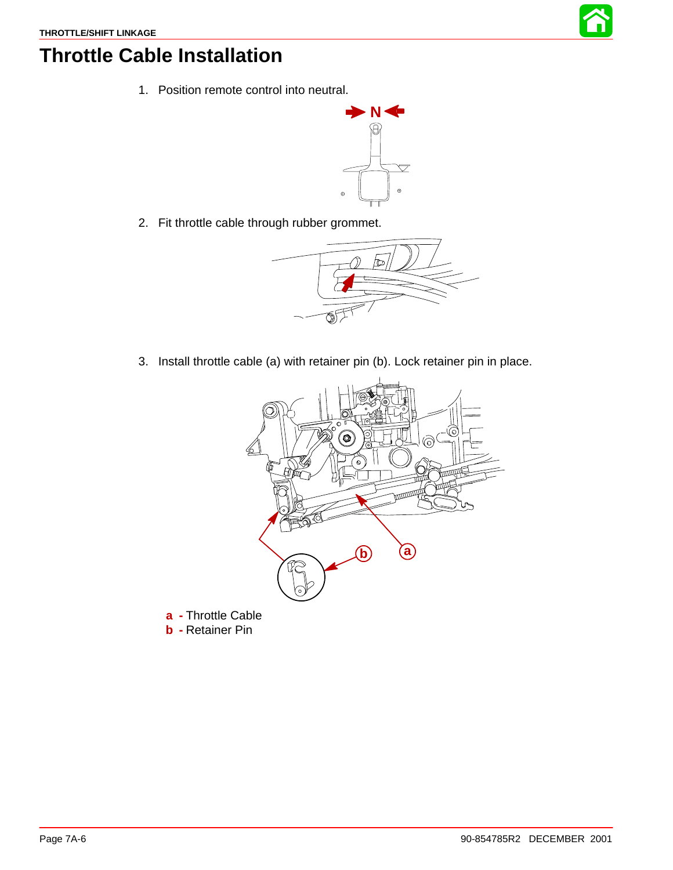

### **Throttle Cable Installation**

1. Position remote control into neutral.



2. Fit throttle cable through rubber grommet.



3. Install throttle cable (a) with retainer pin (b). Lock retainer pin in place.



- **a -** Throttle Cable
- **b -** Retainer Pin